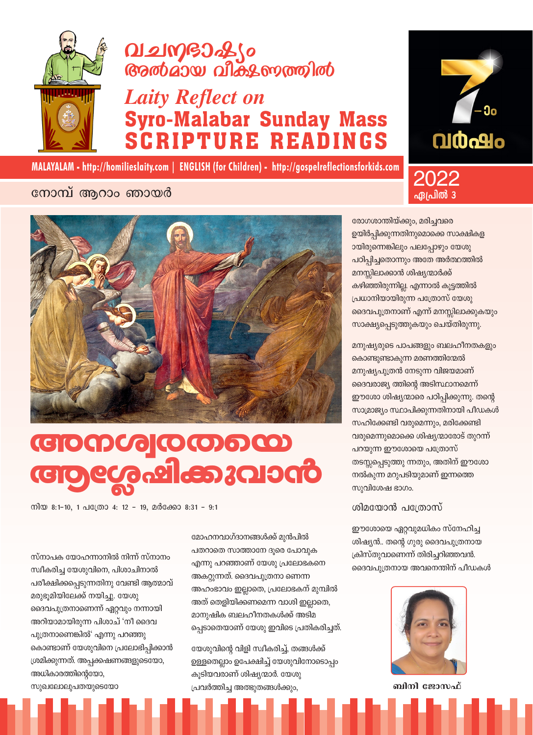

# 

## **Laity Reflect on** Syro-Malabar Sunday Mass<br>SCRIPTURE READINGS



MALAYALAM - http://homilieslaity.com | ENGLISH (for Children) - http://gospelreflectionsforkids.com

### നോമ്പ് ആറാം ഞായർ



## **COODCO** COODCO <u> ඉശേഷിക്കുവാൻ</u>

നിയ 8:1-10, 1 പത്രോ 4: 12 - 19, മർക്കോ 8:31 - 9:1

സ്നാപക യോഹന്നാനിൽ നിന്ന് സ്നാനം സ്വീകരിച്ച യേശുവിനെ, പിശാചിനാൽ പരീക്ഷിക്കപ്പെടുന്നതിനു വേണ്ടി ആത്മാവ് മരുഭൂമിയിലേക്ക് നയിച്ചു. യേശു ദൈവപുത്രനാണെന്ന് ഏറ്റവും നന്നായി അറിയാമായിരുന്ന പിശാച് 'നീ ദൈവ പുത്രനാണെങ്കിൽ' എന്നു പറഞ്ഞു കൊണ്ടാണ് യേശുവിനെ പ്രലോഭിപ്പിക്കാൻ ശ്രമിക്കുന്നത്. അപ്പക്കഷണങ്ങളുടെയോ, അധികാരത്തിന്റെയോ,

മോഹനവാഗ്ദാനങ്ങൾക്ക് മുൻപിൽ പതറാതെ സാത്താനേ ദൂരെ പോവുക എന്നു പറഞ്ഞാണ് യേശു പ്രലോഭകനെ അകറ്റുന്നത്. ദൈവപുത്രനാ ണെന്ന അഹംഭാവം ഇല്ലാതെ, പ്രലോഭകന് മുമ്പിൽ അത് തെളിയിക്കണമെന്ന വാശി ഇല്ലാതെ, മാനുഷിക ബലഹീനതകൾക്ക് അടിമ പ്പെടാതെയാണ് യേശു ഇവിടെ പ്രതികരിച്ചത്.

യേശുവിന്റെ വിളി സ്ഥീകരിച്ച്, തങ്ങൾക്ക് ഉള്ളതെല്ലാം ഉപേക്ഷിച്ച് യേശുവിനോടൊപ്പം കൂടിയവരാണ് ശിഷ്യന്മാർ. യേശു പ്രവർത്തിച്ച അത്ഭുതങ്ങൾക്കും,

രോഗശാന്തിയ്ക്കും, മരിച്ചവരെ ഉയിർപ്പിക്കുന്നതിനുമൊക്കെ സാക്ഷികള ായിരുന്നെങ്കിലും പലപ്പോഴും യേശു പഠിപ്പിച്ചതൊന്നും അതേ അർത്ഥത്തിൽ മനസ്സിലാക്കാൻ ശിഷ്യന്മാർക്ക് കഴിഞ്ഞിരുന്നില്ല. എന്നാൽ കൂട്ടത്തിൽ പ്രധാനിയായിരുന്ന പത്രോസ് യേശു ദൈവപുത്രനാണ് എന്ന് മനസ്സിലാക്കുകയും സാക്ഷ്യപ്പെടുത്തുകയും ചെയ്തിരുന്നു.

2022

**ഏ**പ്രിൽ :

മനുഷ്യരുടെ പാപങ്ങളും ബലഹീനതകളും കൊണ്ടുണ്ടാകുന്ന മരണത്തിന്മേൽ മനുഷ്യപുത്രൻ നേടുന്ന വിജയമാണ് ദൈവരാജ്യ ത്തിന്റെ അടിസ്ഥാനമെന്ന് ഈശോ ശിഷ്യന്മാരെ പഠിപ്പിക്കുന്നു. തന്റെ സാമ്രാജ്യം സ്ഥാപിക്കുന്നതിനായി പീഡകൾ സഹിക്കേണ്ടി വരുമെന്നും, മരിക്കേണ്ടി വരുമെന്നുമൊക്കെ ശിഷ്യന്മാരോട് തുറന്ന് പറയുന്ന ഈശോയെ പത്രോസ് തടസ്സപ്പെടുത്തു ന്നതും, അതിന് ഈശോ നൽകുന്ന മറുപടിയുമാണ് ഇന്നത്തെ സുവിശേഷ ഭാഗം.

#### ശിമയോൻ പത്രോസ്

ഈശോയെ ഏറ്റവുമധികം സ്നേഹിച്ച ശിഷ്യൻ.. തന്റെ ഗുരു ദൈവപുത്രനായ ക്രിസ്തുവാണെന്ന് തിരിച്ചറിഞ്ഞവൻ. ദൈവപുത്രനായ അവനെന്തിന് പീഡകൾ



ബിനി ജോസഫ്

സുഖലോലുപതയുടെയോ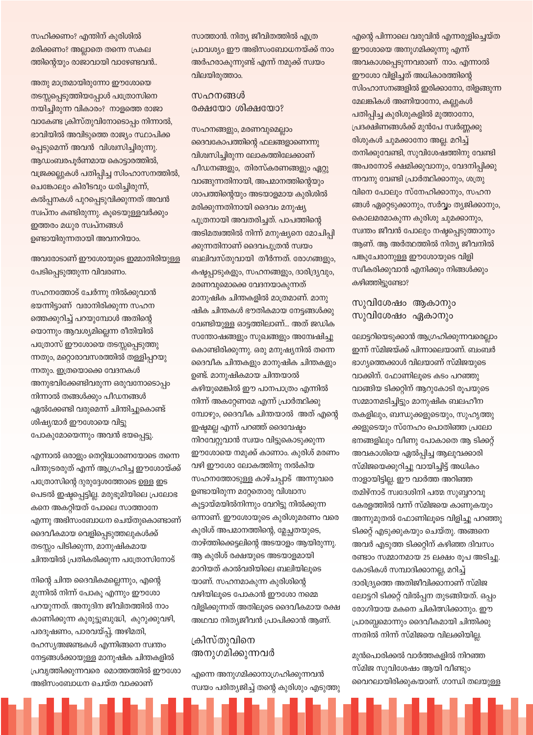സഹിക്കണം? എന്തിന് കുരിശിൽ മരിക്കണം? അല്ലാതെ തന്നെ സകല ത്തിന്റെയും രാജാവായി വാഴേണ്ടവൻ..

അതു മാത്രമായിരുന്നോ ഈശോയെ തടസ്സപ്പെടുത്തിയപ്പോൾ പത്രോസിനെ നയിച്ചിരുന്ന വികാരം? നാളത്തെ രാജാ വാകേണ്ട ക്രിസ്തുവിനോടൊപ്പം നിന്നാൽ, ഭാവിയിൽ അവിടുത്തെ രാജ്യം സ്ഥാപിക്ക പെടുമെന്ന് അവൻ വിശ്വസിച്ചിരുന്നു. ആഡംബരപൂർണമായ കൊട്ടാരത്തിൽ, വജ്രക്കല്ലുകൾ പതിപ്പിച്ച സിംഹാസനത്തിൽ, ചെങ്കോലും കിരീടവും ധരിച്ചിരുന്ന്, കൽപ്പനകൾ പുറപ്പെടുവിക്കുന്നത് അവൻ സ്വപ്നം കണ്ടിരുന്നു. കുടെയുള്ളവർക്കും ഇത്തരം മധുര സ്വപ്നങ്ങൾ ഉണ്ടായിരുന്നതായി അവനറിയാം.

അവരോടാണ് ഈശോയുടെ ഇമ്മാതിരിയുള്ള പേടിപ്പെടുത്തുന്ന വിവരണം.

സഹനത്തോട് ചേർന്നു നിൽക്കുവാൻ ഭയന്നിട്ടാണ് വരാനിരിക്കുന്ന സഹന ത്തെക്കുറിച്ച് പറയുമ്പോൾ അതിന്റെ യൊന്നും ആവശ്യമില്ലെന്ന രീതിയിൽ പത്രോസ് ഈശോയെ തടസ്സപ്പെടുത്തു ന്നതും, മറ്റൊരാവസരത്തിൽ തള്ളിപ്പറയു ന്നതും. ഇത്രയൊക്കെ വേദനകൾ അനുഭവിക്കേണ്ടിവരുന്ന ഒരുവനോടൊപ്പം നിന്നാൽ തങ്ങൾക്കും പീഡനങ്ങൾ ഏൽക്കേണ്ടി വരുമെന്ന് ചിന്തിച്ചുകൊണ്ട് ശിഷ്യന്മാർ ഈശോയെ വിട്ടു പോകുമോയെന്നും അവൻ ഭയപ്പെട്ടു.

എന്നാൽ ഒരാളും തെറ്റിദ്ധാരണയോടെ തന്നെ പിന്തുടരരുത് എന്ന് ആഗ്രഹിച്ച ഈശോയ്ക്ക് പത്രോസിന്റെ ദുരുദ്ദേശത്തോടെ ഉള്ള ഇട പെടൽ ഇഷ്ടപ്പെട്ടില്ല. മരുഭൂമിയിലെ പ്രലോഭ കനെ അകറ്റിയത് പോലെ സാത്താനേ എന്നു അഭിസംബോധന ചെയ്തുകൊണ്ടാണ് ദൈവീകമായ വെളിപ്പെടുത്തലുകൾക്ക് തടസ്സം പിടിക്കുന്ന, മാനുഷികമായ ചിന്തയിൽ പ്രതികരിക്കുന്ന പത്രോസിനോട്

നിന്റെ ചിന്ത ദൈവികമല്ലെന്നും, എന്റെ മുന്നിൽ നിന്ന് പോകൂ എന്നും ഈശോ പറയുന്നത്. അനുദിന ജീവിതത്തിൽ നാം കാണിക്കുന്ന കുരുട്ടുബുദ്ധി, കുറുക്കുവഴി, പരദൂഷണം, പാരവയ്പ്പ്, അഴിമതി, രഹസ്യഅജണ്ടകൾ എന്നിങ്ങനെ സ്വന്തം നേട്ടങ്ങൾക്കായുള്ള മാനുഷിക ചിന്തകളിൽ പ്രവൃത്തിക്കുന്നവരെ മൊത്തത്തിൽ ഈശോ അഭിസംബോധന ചെയ്ത വാക്കാണ്

സാത്താൻ. നിത്യ ജീവിതത്തിൽ എത്ര പ്രാവശ്യം ഈ അഭിസംബോധനയ്ക്ക് നാം അർഹരാകുന്നുണ്ട് എന്ന് നമുക്ക് സ്വയം വിലയിരുത്താം.

#### സഹനങ്ങൾ രക്ഷയോ ശിക്ഷയോ?

സഹനങ്ങളും, മരണവുമെല്ലാം ദൈവകോപത്തിന്റെ ഫലങ്ങളാണെന്നു വിശ്വസിച്ചിരുന്ന ലോകത്തിലേക്കാണ് പീഡനങ്ങളും, തിരസ്കരണങ്ങളും ഏറ്റു വാങ്ങുന്നതിനായി, അപമാനത്തിന്റെയും ശാപത്തിന്റെയും അടയാളമായ കുരിശിൽ മരിക്കുന്നതിനായി ദൈവം മനുഷ്യ പുത്രനായി അവതരിച്ചത്. പാപത്തിന്റെ അടിമത്വത്തിൽ നിന്ന് മനുഷ്യനെ മോചിപ്പി ക്കുന്നതിനാണ് ദൈവപുത്രൻ സ്വയം ബലിവസ്തുവായി തീർന്നത്. രോഗങ്ങളും, കഷ്ടപ്പാടുകളും, സഹനങ്ങളും, ദാരിദ്ര്യവും, മരണവുമൊക്കെ വേദനയാകുന്നത് മാനുഷിക ചിന്തകളിൽ മാത്രമാണ്. മാനു ഷിക ചിന്തകൾ ഭൗതികമായ നേട്ടങ്ങൾക്കു വേണ്ടിയുള്ള ഓട്ടത്തിലാണ്... അത് ജഡിക സന്തോഷങ്ങളും സുഖങ്ങളും അന്വേഷിച്ചു കൊണ്ടിരിക്കുന്നു. ഒരു മനുഷ്യനിൽ തന്നെ ദൈവീക ചിന്തകളും മാനുഷിക ചിന്തകളും ഉണ്ട്. മാനുഷികമായ ചിന്തയാൽ കഴിയുമെങ്കിൽ ഈ പാനപാത്രം എന്നിൽ നിന്ന് അകറ്റേണമേ എന്ന് പ്രാർത്ഥിക്കു മ്പോഴും, ദൈവീക ചിന്തയാൽ അത് എന്റെ ഇഷ്ടമല്ല എന്ന് പറഞ്ഞ് ദൈവേഷ്ടം നിറവേറ്റുവാൻ സ്വയം വിട്ടുകൊടുക്കുന്ന ഈശോയെ നമുക്ക് കാണാം. കുരിശ് മരണം വഴി ഈശോ ലോകത്തിനു നൽകിയ സഹനത്തോടുള്ള കാഴ്ചപ്പാട് അന്നുവരെ ഉണ്ടായിരുന്ന മറ്റേതൊരു വിശ്വാസ കൂട്ടായ്മയിൽനിന്നും വേറിട്ടു നിൽക്കുന്ന ഒന്നാണ്. ഈശോയുടെ കുരിശുമരണം വരെ കുരിശ് അപമാനത്തിന്റെ, മ്ലേച്ചതയുടെ, താഴ്ത്തിക്കെട്ടലിന്റെ അടയാളം ആയിരുന്നു. ആ കുരിശ് രക്ഷയുടെ അടയാളമായി മാറിയത് കാൽവരിയിലെ ബലിയിലൂടെ യാണ്. സഹനമാകുന്ന കുരിശിന്റെ വഴിയിലൂടെ പോകാൻ ഈശോ നമ്മെ വിളിക്കുന്നത് അതിലുടെ ദൈവീകമായ രക്ഷ അഥവാ നിത്യജീവൻ പ്രാപിക്കാൻ ആണ്.

#### ക്രിസ്തുവിനെ അനുഗമിക്കുന്നവർ

എന്നെ അനുഗമിക്കാനാഗ്രഹിക്കുന്നവൻ സ്വയം പരിത്യജിച്ച് തന്റെ കുരിശും എടുത്തു എന്റെ പിന്നാലെ വരുവിൻ എന്നരുളിച്ചെയ്ത ഈശോയെ അനുഗമിക്കുന്നു എന്ന് അവകാശപ്പെടുന്നവരാണ് നാം. എന്നാൽ ഈശോ വിളിച്ചത് അധികാരത്തിന്റെ സിംഹാസനങ്ങളിൽ ഇരിക്കാനോ, തിളങ്ങുന്ന മേലങ്കികൾ അണിയാനോ, കല്ലുകൾ പതിപ്പിച്ച കുരിശുകളിൽ മുത്താനോ, പ്രദക്ഷിണങ്ങൾക്ക് മുൻപേ സ്വർണ്ണക്കു രിശുകൾ ചുമക്കാനോ അല്ല. മറിച്ച് തനിക്കുവേണ്ടി, സുവിശേഷത്തിനു വേണ്ടി അപരനോട് ക്ഷമിക്കുവാനും, വേദനിപ്പിക്കു ന്നവനു വേണ്ടി പ്രാർത്ഥിക്കാനും, ശത്രു വിനെ പോലും സ്നേഹിക്കാനും, സഹന ങ്ങൾ ഏറ്റെടുക്കാനും, സർവ്വം തൃജിക്കാനും, കൊലമരമാകുന്ന കുരിശു ചുമക്കാനും, സ്വന്തം ജീവൻ പോലും നഷ്ടപ്പെടുത്താനും ആണ്. ആ അർത്ഥത്തിൽ നിത്യ ജീവനിൽ പങ്കുചേരാനുള്ള ഈശോയുടെ വിളി സ്ഥീകരിക്കുവാൻ എനിക്കും നിങ്ങൾക്കും കഴിഞ്ഞിട്ടുണ്ടോ?

#### സുവിശേഷം ആകാനും സുവിശേഷം ഏകാനും

ലോട്ടറിയെടുക്കാൻ ആഗ്രഹിക്കുന്നവരെല്ലാം ഇന്ന് സ്മിജയ്ക്ക് പിന്നാലെയാണ്. ബംബർ ഭാഗ്യത്തെക്കാൾ വിലയാണ് സ്മിജയുടെ വാക്കിന്. ഫോണിലൂടെ കടം പറഞ്ഞു വാങ്ങിയ ടിക്കറ്റിന് ആറുകോടി രുപയുടെ സമ്മാനമടിച്ചിട്ടും മാനുഷിക ബലഹീന തകളിലും, ബന്ധുക്കളുടെയും, സുഹൃത്തു ക്കളുടെയും സ്നേഹം പൊതിഞ്ഞ പ്രലോ ഭനങ്ങളിലും വീണു പോകാതെ ആ ടിക്കറ്റ് അവകാശിയെ ഏൽപ്പിച്ച ആലുവക്കാരി സ്മിജയെക്കുറിച്ചു വായിച്ചിട്ട് അധികം നാളായിട്ടില്ല. ഈ വാർത്ത അറിഞ്ഞ തമിഴ്നാട് സ്വദേശിനി പത്മ സുബ്ബറാവു കേരളത്തിൽ വന്ന് സ്മിജയെ കാണുകയും അന്നുമുതൽ ഫോണിലൂടെ വിളിച്ചു പറഞ്ഞു ടിക്കറ്റ് എടുക്കുകയും ചെയ്തു. അങ്ങനെ അവർ എടുത്ത ടിക്കറ്റിന് കഴിഞ്ഞ ദിവസം രണ്ടാം സമ്മാനമായ 25 ലക്ഷം രൂപ അടിച്ചു. കോടികൾ സമ്പാദിക്കാനല്ല, മറിച്ച് ദാരിദ്ര്യത്തെ അതിജീവിക്കാനാണ് സ്മിജ ലോട്ടറി ടിക്കറ്റ് വിൽപ്പന തുടങ്ങിയത്. ഒപ്പം രോഗിയായ മകനെ ചികിത്സിക്കാനും. ഈ

മുൻപൊരിക്കൽ വാർത്തകളിൽ നിറഞ്ഞ സ്മിജ സുവിശേഷം ആയി വീണ്ടും വൈറലായിരിക്കുകയാണ്. ഗാന്ധി തലയുള്ള

പ്രാരബ്ധമൊന്നും ദൈവീകമായി ചിന്തിക്കു

ന്നതിൽ നിന്ന് സ്മിജയെ വിലക്കിയില്ല.